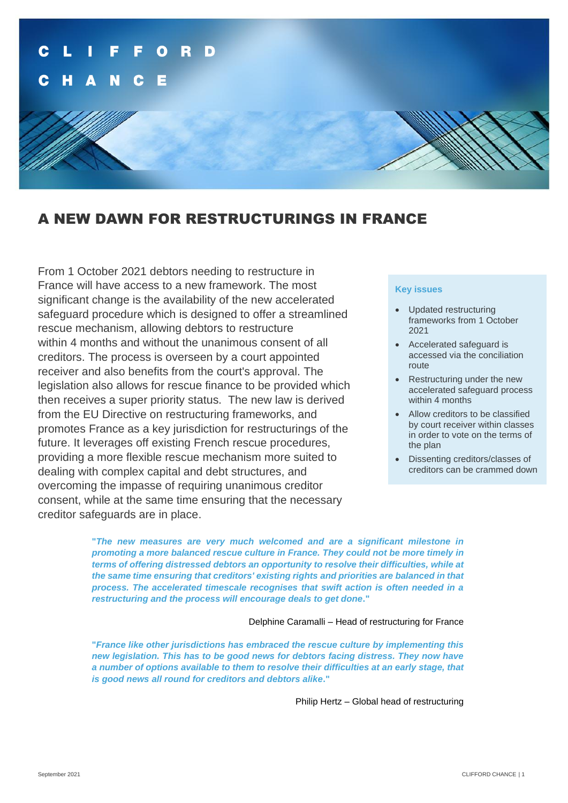

# A NEW DAWN FOR RESTRUCTURINGS IN FRANCE

From 1 October 2021 debtors needing to restructure in France will have access to a new framework. The most significant change is the availability of the new accelerated safeguard procedure which is designed to offer a streamlined rescue mechanism, allowing debtors to restructure within 4 months and without the unanimous consent of all creditors. The process is overseen by a court appointed receiver and also benefits from the court's approval. The legislation also allows for rescue finance to be provided which then receives a super priority status. The new law is derived from the EU Directive on restructuring frameworks, and promotes France as a key jurisdiction for restructurings of the future. It leverages off existing French rescue procedures, providing a more flexible rescue mechanism more suited to dealing with complex capital and debt structures, and overcoming the impasse of requiring unanimous creditor consent, while at the same time ensuring that the necessary creditor safeguards are in place.

#### **Key issues**

- Updated restructuring frameworks from 1 October 2021
- Accelerated safeguard is accessed via the conciliation route
- Restructuring under the new accelerated safeguard process within 4 months
- Allow creditors to be classified by court receiver within classes in order to vote on the terms of the plan
- Dissenting creditors/classes of creditors can be crammed down

**"***The new measures are very much welcomed and are a significant milestone in promoting a more balanced rescue culture in France. They could not be more timely in terms of offering distressed debtors an opportunity to resolve their difficulties, while at the same time ensuring that creditors' existing rights and priorities are balanced in that process. The accelerated timescale recognises that swift action is often needed in a restructuring and the process will encourage deals to get done***."** 

#### Delphine Caramalli – Head of restructuring for France

**"***France like other jurisdictions has embraced the rescue culture by implementing this new legislation. This has to be good news for debtors facing distress. They now have a number of options available to them to resolve their difficulties at an early stage, that is good news all round for creditors and debtors alike***."**

Philip Hertz – Global head of restructuring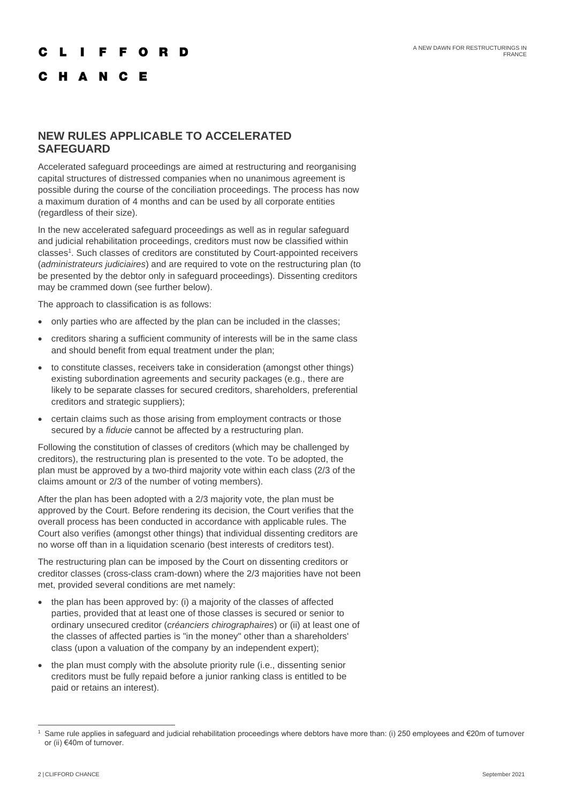## F F O R D

# C H A N C E

#### **NEW RULES APPLICABLE TO ACCELERATED SAFEGUARD**

Accelerated safeguard proceedings are aimed at restructuring and reorganising capital structures of distressed companies when no unanimous agreement is possible during the course of the conciliation proceedings. The process has now a maximum duration of 4 months and can be used by all corporate entities (regardless of their size).

In the new accelerated safeguard proceedings as well as in regular safeguard and judicial rehabilitation proceedings, creditors must now be classified within classes<sup>1</sup>. Such classes of creditors are constituted by Court-appointed receivers (*administrateurs judiciaires*) and are required to vote on the restructuring plan (to be presented by the debtor only in safeguard proceedings). Dissenting creditors may be crammed down (see further below).

The approach to classification is as follows:

- only parties who are affected by the plan can be included in the classes;
- creditors sharing a sufficient community of interests will be in the same class and should benefit from equal treatment under the plan;
- to constitute classes, receivers take in consideration (amongst other things) existing subordination agreements and security packages (e.g., there are likely to be separate classes for secured creditors, shareholders, preferential creditors and strategic suppliers);
- certain claims such as those arising from employment contracts or those secured by a *fiducie* cannot be affected by a restructuring plan.

Following the constitution of classes of creditors (which may be challenged by creditors), the restructuring plan is presented to the vote. To be adopted, the plan must be approved by a two-third majority vote within each class (2/3 of the claims amount or 2/3 of the number of voting members).

After the plan has been adopted with a 2/3 majority vote, the plan must be approved by the Court. Before rendering its decision, the Court verifies that the overall process has been conducted in accordance with applicable rules. The Court also verifies (amongst other things) that individual dissenting creditors are no worse off than in a liquidation scenario (best interests of creditors test).

The restructuring plan can be imposed by the Court on dissenting creditors or creditor classes (cross-class cram-down) where the 2/3 majorities have not been met, provided several conditions are met namely:

- the plan has been approved by: (i) a majority of the classes of affected parties, provided that at least one of those classes is secured or senior to ordinary unsecured creditor (*créanciers chirographaires*) or (ii) at least one of the classes of affected parties is "in the money" other than a shareholders' class (upon a valuation of the company by an independent expert);
- the plan must comply with the absolute priority rule (i.e., dissenting senior creditors must be fully repaid before a junior ranking class is entitled to be paid or retains an interest).

Same rule applies in safeguard and judicial rehabilitation proceedings where debtors have more than: (i) 250 employees and €20m of turnover or (ii) €40m of turnover.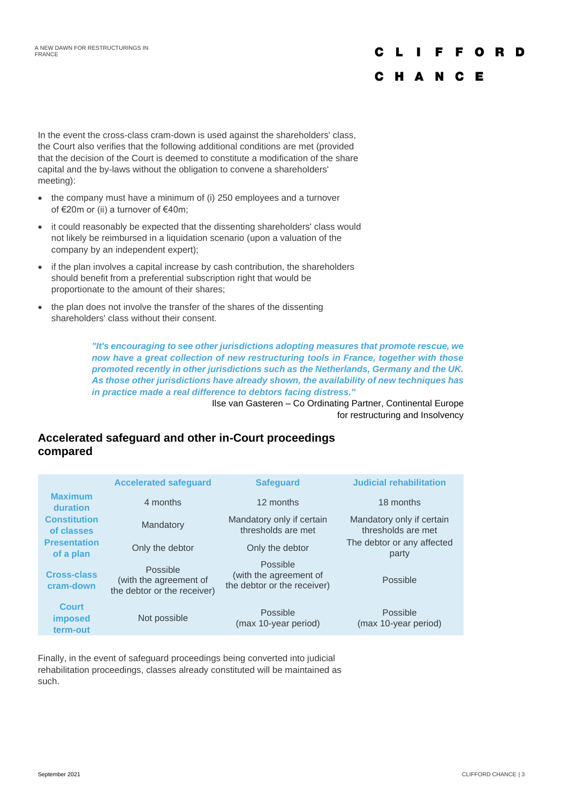#### F F O D

#### C H A N C E

In the event the cross-class cram-down is used against the shareholders' class, the Court also verifies that the following additional conditions are met (provided that the decision of the Court is deemed to constitute a modification of the share capital and the by-laws without the obligation to convene a shareholders' meeting):

- the company must have a minimum of (i) 250 employees and a turnover of €20m or (ii) a turnover of €40m;
- it could reasonably be expected that the dissenting shareholders' class would not likely be reimbursed in a liquidation scenario (upon a valuation of the company by an independent expert);
- if the plan involves a capital increase by cash contribution, the shareholders should benefit from a preferential subscription right that would be proportionate to the amount of their shares;
- the plan does not involve the transfer of the shares of the dissenting shareholders' class without their consent.

*"It's encouraging to see other jurisdictions adopting measures that promote rescue, we now have a great collection of new restructuring tools in France, together with those promoted recently in other jurisdictions such as the Netherlands, Germany and the UK. As those other jurisdictions have already shown, the availability of new techniques has in practice made a real difference to debtors facing distress."*

> Ilse van Gasteren – Co Ordinating Partner, Continental Europe for restructuring and Insolvency

#### **Accelerated safeguard and other in-Court proceedings compared**

|                                     | <b>Accelerated safequard</b>                                      | <b>Safeguard</b>                                                  | <b>Judicial rehabilitation</b>                  |
|-------------------------------------|-------------------------------------------------------------------|-------------------------------------------------------------------|-------------------------------------------------|
| <b>Maximum</b><br>duration          | 4 months                                                          | 12 months                                                         | 18 months                                       |
| <b>Constitution</b><br>of classes   | Mandatory                                                         | Mandatory only if certain<br>thresholds are met                   | Mandatory only if certain<br>thresholds are met |
| <b>Presentation</b><br>of a plan    | Only the debtor                                                   | Only the debtor                                                   | The debtor or any affected<br>party             |
| <b>Cross-class</b><br>cram-down     | Possible<br>(with the agreement of<br>the debtor or the receiver) | Possible<br>(with the agreement of<br>the debtor or the receiver) | Possible                                        |
| Court<br><i>imposed</i><br>term-out | Not possible                                                      | Possible<br>(max 10-year period)                                  | Possible<br>(max 10-year period)                |

Finally, in the event of safeguard proceedings being converted into judicial rehabilitation proceedings, classes already constituted will be maintained as such.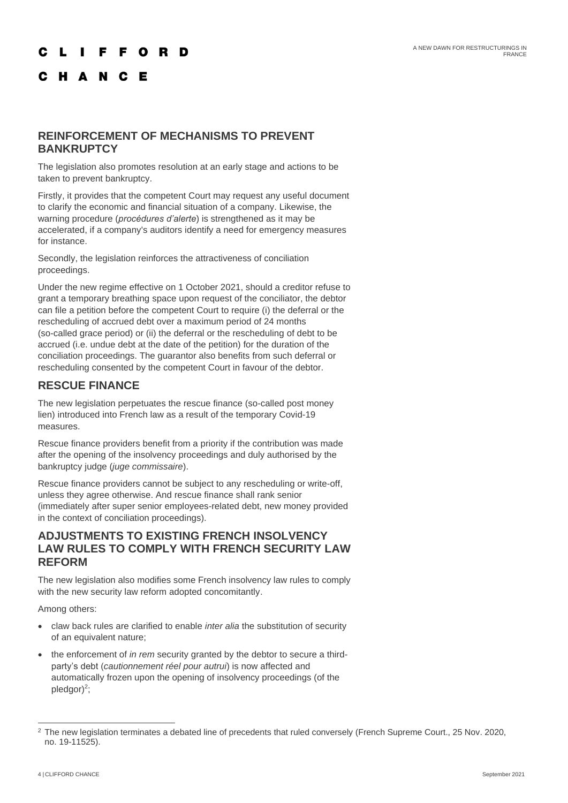#### **IFFORD** C  $\mathbf{L}$

### C H A N C E

#### **REINFORCEMENT OF MECHANISMS TO PREVENT BANKRUPTCY**

The legislation also promotes resolution at an early stage and actions to be taken to prevent bankruptcy.

Firstly, it provides that the competent Court may request any useful document to clarify the economic and financial situation of a company. Likewise, the warning procedure (*procédures d'alerte*) is strengthened as it may be accelerated, if a company's auditors identify a need for emergency measures for instance.

Secondly, the legislation reinforces the attractiveness of conciliation proceedings.

Under the new regime effective on 1 October 2021, should a creditor refuse to grant a temporary breathing space upon request of the conciliator, the debtor can file a petition before the competent Court to require (i) the deferral or the rescheduling of accrued debt over a maximum period of 24 months (so-called grace period) or (ii) the deferral or the rescheduling of debt to be accrued (i.e. undue debt at the date of the petition) for the duration of the conciliation proceedings. The guarantor also benefits from such deferral or rescheduling consented by the competent Court in favour of the debtor.

#### **RESCUE FINANCE**

The new legislation perpetuates the rescue finance (so-called post money lien) introduced into French law as a result of the temporary Covid-19 measures.

Rescue finance providers benefit from a priority if the contribution was made after the opening of the insolvency proceedings and duly authorised by the bankruptcy judge (*juge commissaire*).

Rescue finance providers cannot be subject to any rescheduling or write-off, unless they agree otherwise. And rescue finance shall rank senior (immediately after super senior employees-related debt, new money provided in the context of conciliation proceedings).

#### **ADJUSTMENTS TO EXISTING FRENCH INSOLVENCY LAW RULES TO COMPLY WITH FRENCH SECURITY LAW REFORM**

The new legislation also modifies some French insolvency law rules to comply with the new security law reform adopted concomitantly.

Among others:

- claw back rules are clarified to enable *inter alia* the substitution of security of an equivalent nature;
- the enforcement of *in rem* security granted by the debtor to secure a thirdparty's debt (*cautionnement réel pour autrui*) is now affected and automatically frozen upon the opening of insolvency proceedings (of the pledgor)<sup>2</sup>;

<sup>&</sup>lt;sup>2</sup> The new legislation terminates a debated line of precedents that ruled conversely (French Supreme Court., 25 Nov. 2020, no. 19-11525).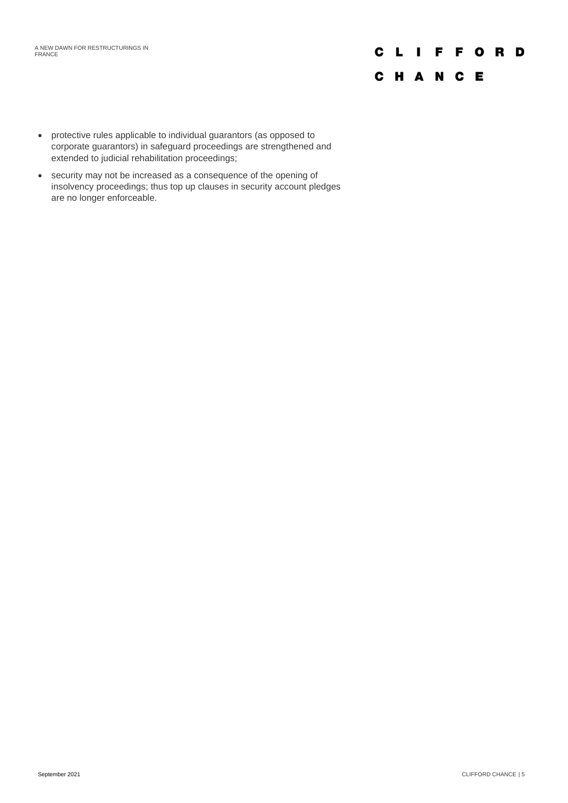# **CLIFFORD** C H A N C E

- protective rules applicable to individual guarantors (as opposed to corporate guarantors) in safeguard proceedings are strengthened and extended to judicial rehabilitation proceedings;
- security may not be increased as a consequence of the opening of insolvency proceedings; thus top up clauses in security account pledges are no longer enforceable.